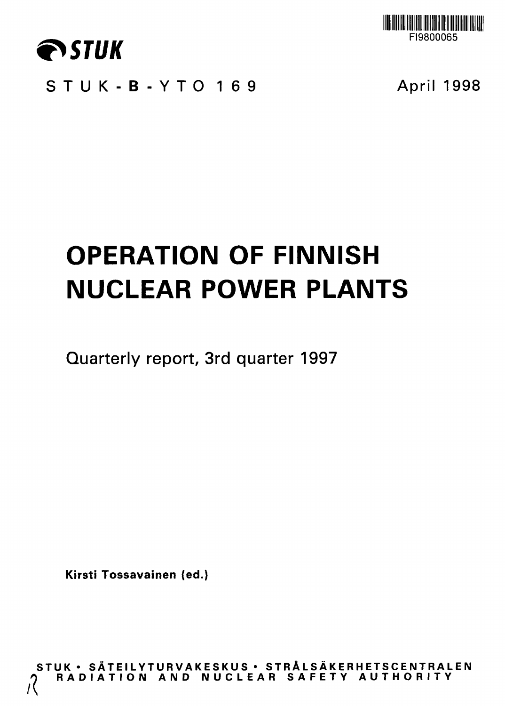

**FI9800065**

**STUK-B-YT O 16 9 April 1998**

# **OPERATION OF FINNISH NUCLEAR POWER PLANTS**

**Quarterly report, 3rd quarter 1997**

**Kirsti Tossavainen (ed.)**

**STU K • SATEILYTURVAKESKU S • STR A LS AKE R H ETSC E NTR A L E N RADIATIO N AN D NUCLEA R SAFET Y AUTHORIT Y (**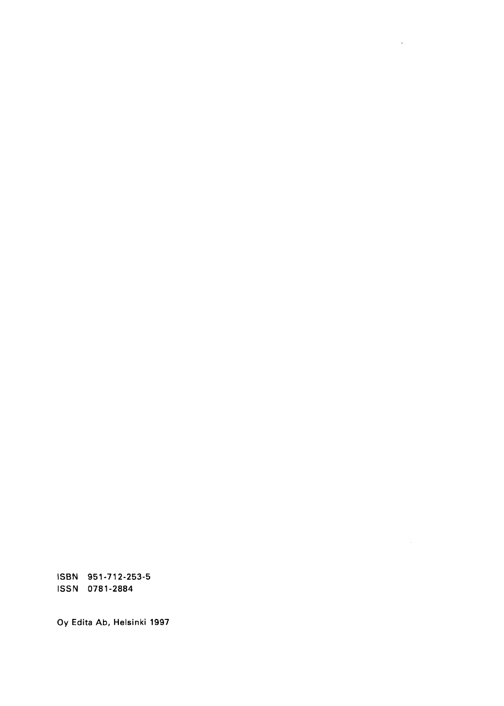ISBN 951-712-253-5 ISSN 0781-2884

Oy Edita Ab, Helsinki 1997

 $\mathcal{L}$ 

 $\mathcal{L}^{\text{max}}_{\text{max}}$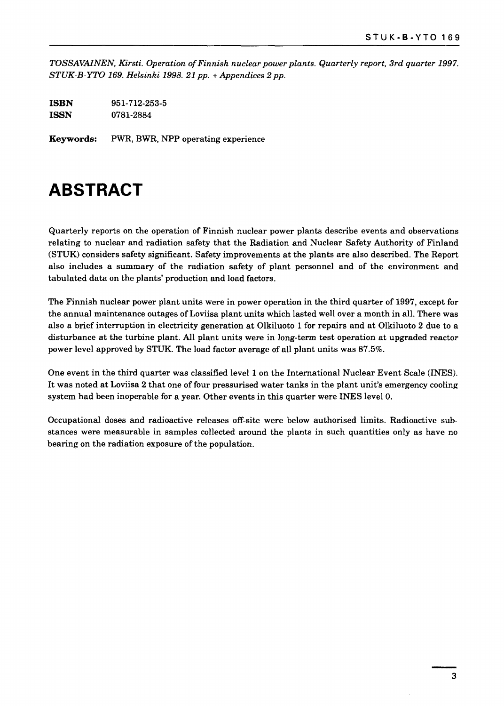*TOSSAVAINEN, Kirsti. Operation of Finnish nuclear power plants. Quarterly report, 3rd quarter 1997. STUK-B-YTO 169. Helsinki 1998. 21pp. + Appendices 2 pp.*

| ISBN        | 951-712-253-5 |
|-------------|---------------|
| <b>ISSN</b> | 0781-2884     |

**Keywords:** PWR, BWR, NPP operating experience

### **ABSTRACT**

Quarterly reports on the operation of Finnish nuclear power plants describe events and observations relating to nuclear and radiation safety that the Radiation and Nuclear Safety Authority of Finland (STUK) considers safety significant. Safety improvements at the plants are also described. The Report also includes a summary of the radiation safety of plant personnel and of the environment and tabulated data on the plants' production and load factors.

The Finnish nuclear power plant units were in power operation in the third quarter of 1997, except for the annual maintenance outages of Loviisa plant units which lasted well over a month in all. There was also a brief interruption in electricity generation at Olkiluoto 1 for repairs and at Olkiluoto 2 due to a disturbance at the turbine plant. All plant units were in long-term test operation at upgraded reactor power level approved by STUK. The load factor average of all plant units was 87.5%.

One event in the third quarter was classified level 1 on the International Nuclear Event Scale (INES). It was noted at Loviisa 2 that one of four pressurised water tanks in the plant unit's emergency cooling system had been inoperable for a year. Other events in this quarter were INES level 0.

Occupational doses and radioactive releases off-site were below authorised limits. Radioactive substances were measurable in samples collected around the plants in such quantities only as have no bearing on the radiation exposure of the population.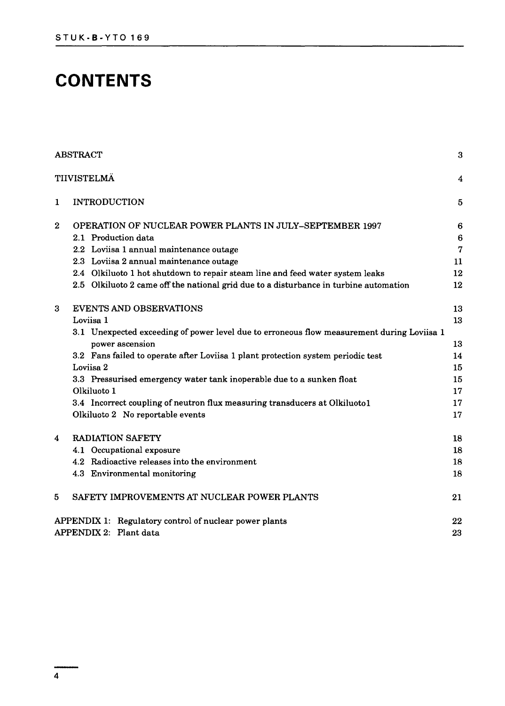### **CONTENTS**

|                  | <b>ABSTRACT</b>                                                                            | 3               |
|------------------|--------------------------------------------------------------------------------------------|-----------------|
|                  | TIIVISTELMÄ                                                                                | 4               |
| 1                | <b>INTRODUCTION</b>                                                                        | 5               |
| $\boldsymbol{2}$ | OPERATION OF NUCLEAR POWER PLANTS IN JULY-SEPTEMBER 1997                                   | 6               |
|                  | 2.1 Production data                                                                        | $6\phantom{1}6$ |
|                  | 2.2 Loviisa 1 annual maintenance outage                                                    | $\overline{7}$  |
|                  | 2.3 Loviisa 2 annual maintenance outage                                                    | 11              |
|                  | 2.4 Olkiluoto 1 hot shutdown to repair steam line and feed water system leaks              | 12              |
|                  | 2.5 Olkiluoto 2 came off the national grid due to a disturbance in turbine automation      | 12              |
| 3                | <b>EVENTS AND OBSERVATIONS</b>                                                             | 13              |
|                  | Loviisa 1                                                                                  | 13              |
|                  | 3.1 Unexpected exceeding of power level due to erroneous flow measurement during Loviisa 1 |                 |
|                  | power ascension                                                                            | 13              |
|                  | 3.2 Fans failed to operate after Loviisa 1 plant protection system periodic test           | 14              |
|                  | Loviisa 2                                                                                  | 15              |
|                  | 3.3 Pressurised emergency water tank inoperable due to a sunken float                      | 15              |
|                  | Olkiluoto 1                                                                                | 17              |
|                  | 3.4 Incorrect coupling of neutron flux measuring transducers at Olkiluoto1                 | 17              |
|                  | Olkiluoto 2 No reportable events                                                           | 17              |
| 4                | <b>RADIATION SAFETY</b>                                                                    | 18              |
|                  | 4.1 Occupational exposure                                                                  | 18              |
|                  | 4.2 Radioactive releases into the environment                                              | 18              |
|                  | 4.3 Environmental monitoring                                                               | 18              |
| 5                | SAFETY IMPROVEMENTS AT NUCLEAR POWER PLANTS                                                | 21              |
|                  | APPENDIX 1: Regulatory control of nuclear power plants                                     | 22              |
|                  | APPENDIX 2: Plant data                                                                     | 23              |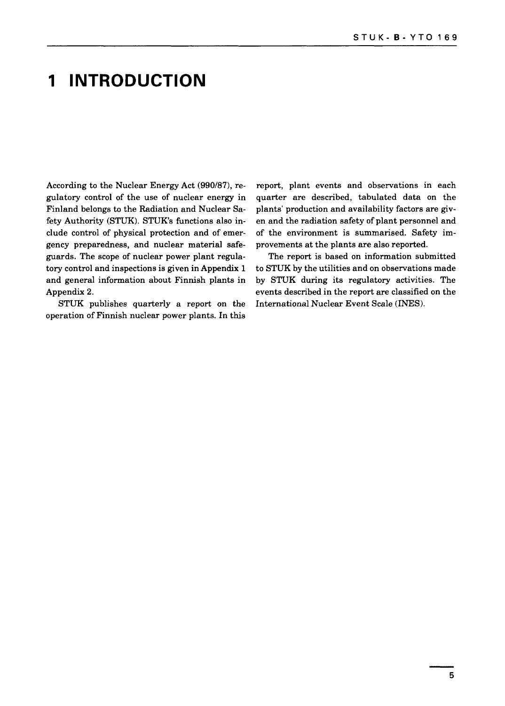### **1 INTRODUCTION**

According to the Nuclear Energy Act (990/87), regulatory control of the use of nuclear energy in Finland belongs to the Radiation and Nuclear Safety Authority (STUK). STUK's functions also include control of physical protection and of emergency preparedness, and nuclear material safeguards. The scope of nuclear power plant regulatory control and inspections is given in Appendix 1 and general information about Finnish plants in Appendix 2.

STUK publishes quarterly a report on the operation of Finnish nuclear power plants. In this

report, plant events and observations in each quarter are described, tabulated data on the plants' production and availability factors are given and the radiation safety of plant personnel and of the environment is summarised. Safety improvements at the plants are also reported.

The report is based on information submitted to STUK by the utilities and on observations made by STUK during its regulatory activities. The events described in the report are classified on the International Nuclear Event Scale (INES).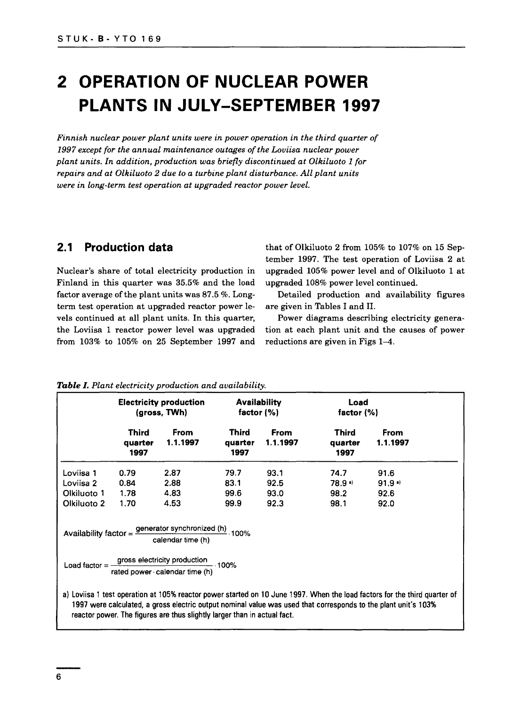## **2 OPERATION OF NUCLEAR POWER PLANTS IN JULY-SEPTEMBER 1997**

*Finnish nuclear power plant units were in power operation in the third quarter of 1997 except for the annual maintenance outages of the Loviisa nuclear power plant units. In addition, production was briefly discontinued at Olkiluoto 1 for repairs and at Olkiluoto 2 due to a turbine plant disturbance. All plant units were in long-term test operation at upgraded reactor power level.*

#### **2.1 Production data**

Nuclear's share of total electricity production in Finland in this quarter was 35.5% and the load factor average of the plant units was 87.5 %. Longterm test operation at upgraded reactor power levels continued at all plant units. In this quarter, the Loviisa 1 reactor power level was upgraded from 103% to 105% on 25 September 1997 and

that of Olkiluoto 2 from 105% to 107% on 15 September 1997. The test operation of Loviisa 2 at upgraded 105% power level and of Olkiluoto 1 at upgraded 108% power level continued.

Detailed production and availability figures are given in Tables I and II.

Power diagrams describing electricity generation at each plant unit and the causes of power reductions are given in Figs 1—4.

|             |                                 | <b>Electricity production</b><br>(gross, TWh)                                                                                                                                           | <b>Availability</b><br>factor $(\% )$ |                         | Load<br>factor $(\%)$           |                                                                                                                                                                                                                                             |
|-------------|---------------------------------|-----------------------------------------------------------------------------------------------------------------------------------------------------------------------------------------|---------------------------------------|-------------------------|---------------------------------|---------------------------------------------------------------------------------------------------------------------------------------------------------------------------------------------------------------------------------------------|
|             | <b>Third</b><br>quarter<br>1997 | <b>From</b><br>1.1.1997                                                                                                                                                                 | Third<br>quarter<br>1997              | <b>From</b><br>1.1.1997 | <b>Third</b><br>quarter<br>1997 | <b>From</b><br>1.1.1997                                                                                                                                                                                                                     |
| Loviisa 1   | 0.79                            | 2.87                                                                                                                                                                                    | 79.7                                  | 93.1                    | 74.7                            | 91.6                                                                                                                                                                                                                                        |
| Loviisa 2   | 0.84                            | 2.88                                                                                                                                                                                    | 83.1                                  | 92.5                    | 78.9%                           | $91.9$ a)                                                                                                                                                                                                                                   |
| Olkiluoto 1 | 1.78                            | 4.83                                                                                                                                                                                    | 99.6                                  | 93.0                    | 98.2                            | 92.6                                                                                                                                                                                                                                        |
| Olkiluoto 2 | 1.70                            | 4.53                                                                                                                                                                                    | 99.9                                  | 92.3                    | 98.1                            | 92.0                                                                                                                                                                                                                                        |
|             |                                 | Availability factor = $\frac{\text{generator synchronized (h)}}{\text{error}}$ 100%<br>calendar time (h)<br>Load factor = gross electricity production<br>rated power calendar time (h) | $-100%$                               |                         |                                 |                                                                                                                                                                                                                                             |
|             |                                 | reactor power. The figures are thus slightly larger than in actual fact.                                                                                                                |                                       |                         |                                 | a) Loviisa 1 test operation at 105% reactor power started on 10 June 1997. When the load factors for the third quarter of<br>1997 were calculated, a gross electric output nominal value was used that corresponds to the plant unit's 103% |

#### *Table I. Plant electricity production and availability.*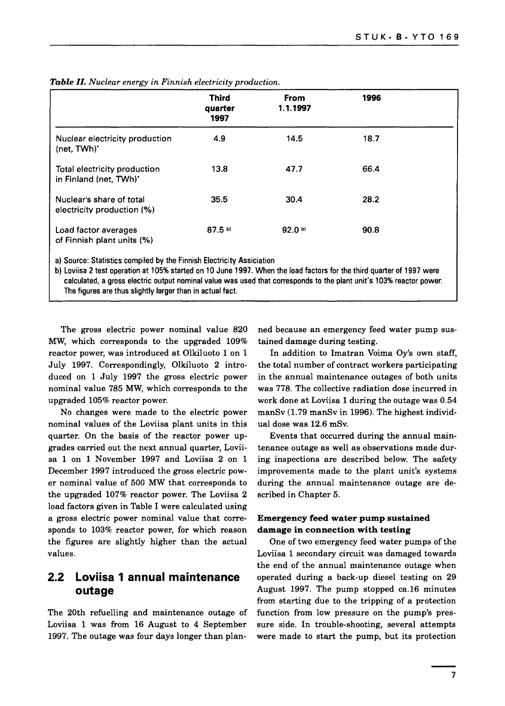|                                                                                                                                                                                                                                                                                                                       | Third<br>quarter<br>1997 | From<br>1.1.1997  | 1996 |  |
|-----------------------------------------------------------------------------------------------------------------------------------------------------------------------------------------------------------------------------------------------------------------------------------------------------------------------|--------------------------|-------------------|------|--|
| Nuclear electricity production<br>(net, TWh)'                                                                                                                                                                                                                                                                         | 4.9                      | 14.5              | 18.7 |  |
| Total electricity production<br>in Finland (net, TWh)*                                                                                                                                                                                                                                                                | 13.8                     | 47.7              | 66.4 |  |
| Nuclear's share of total<br>electricity production (%)                                                                                                                                                                                                                                                                | 35.5                     | 30.4              | 28.2 |  |
| Load factor averages<br>of Finnish plant units (%)                                                                                                                                                                                                                                                                    | $87.5$ b)                | 92.0 <sup>b</sup> | 90.8 |  |
| a) Source: Statistics compiled by the Finnish Electricity Assiciation<br>b) Loviisa 2 test operation at 105% started on 10 June 1997. When the load factors for the third quarter of 1997 were<br>calculated, a gross electric output nominal value was used that corresponds to the plant unit's 103% reactor power. |                          |                   |      |  |

**Table** II. Nuclear energy in Finnish electricity production.

The figures are thus slightly larger than in actual fact.

The gross electric power nominal value 820 MW, which corresponds to the upgraded 109% reactor power, was introduced at Olkiluoto 1 on 1 July 1997. Correspondingly, Olkiluoto 2 introduced on 1 July 1997 the gross electric power nominal value 785 MW, which corresponds to the upgraded 105% reactor power.

No changes were made to the electric power nominal values of the Loviisa plant units in this quarter. On the basis of the reactor power upgrades carried out the next annual quarter, Loviisa 1 on 1 November 1997 and Loviisa 2 on 1 December 1997 introduced the gross electric power nominal value of 500 MW that corresponds to the upgraded 107% reactor power. The Loviisa 2 load factors given in Table I were calculated using a gross electric power nominal value that corresponds to 103% reactor power, for which reason the figures are slightly higher than the actual values.

#### **2.2 Loviisa 1 annual maintenance outage**

The 20th refuelling and maintenance outage of Loviisa 1 was from 16 August to 4 September 1997. The outage was four days longer than planned because an emergency feed water pump sustained damage during testing.

In addition to Imatran Voima Oy's own staff, the total number of contract workers participating in the annual maintenance outages of both units was 778. The collective radiation dose incurred in work done at Loviisa 1 during the outage was 0.54 manSv (1.79 manSv in 1996). The highest individual dose was 12.6 mSv.

Events that occurred during the annual maintenance outage as well as observations made during inspections are described below. The safety improvements made to the plant unit's systems during the annual maintenance outage are described in Chapter 5.

#### **Emergency feed water pump sustained damage in connection with testing**

One of two emergency feed water pumps of the Loviisa 1 secondary circuit was damaged towards the end of the annual maintenance outage when operated during a back-up diesel testing on 29 August 1997. The pump stopped ca.16 minutes from starting due to the tripping of a protection function from low pressure on the pump's pressure side. In trouble-shooting, several attempts were made to start the pump, but its protection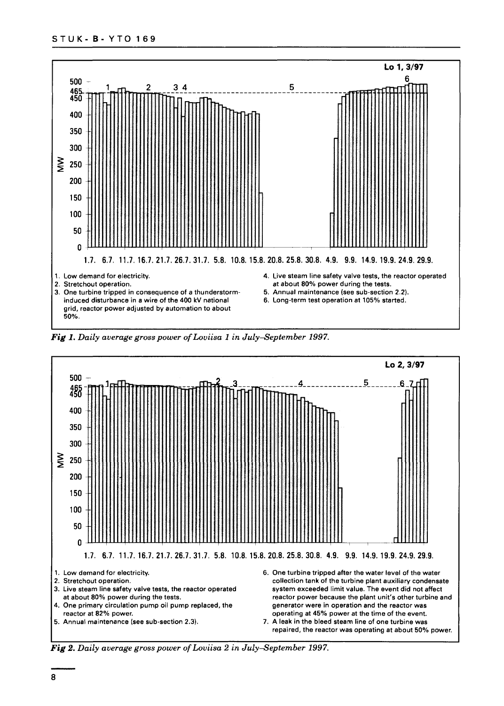

*Fig 1. Daily average gross power of Loviisa 1 in July-September 1997.*



*Fig 2. Daily average gross power of Loviisa 2 in July—September 1997.*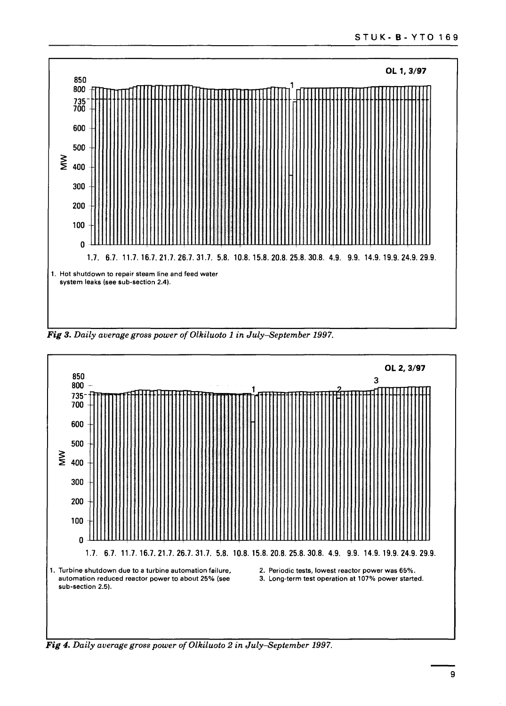

Fig 3. Daily average gross power of Olkiluoto 1 in July-September 1997.



*Fig 4. Daily average gross power of Olkiluoto 2 in July-September 1997.*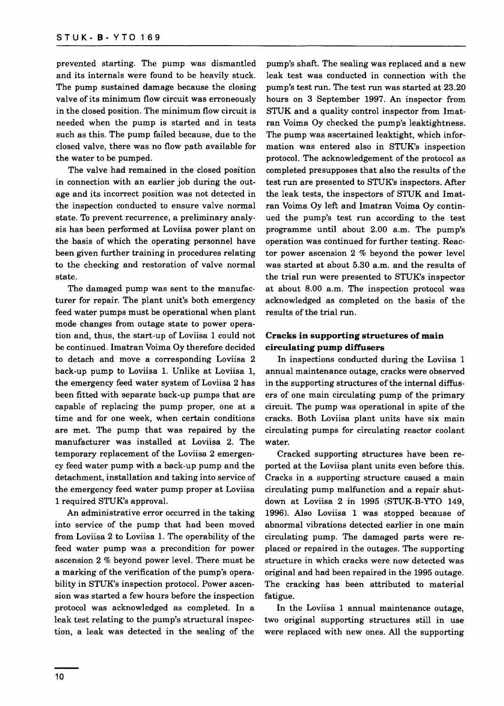prevented starting. The pump was dismantled and its internals were found to be heavily stuck. The pump sustained damage because the closing valve of its minimum flow circuit was erroneously in the closed position. The minimum flow circuit is needed when the pump is started and in tests such as this. The pump failed because, due to the closed valve, there was no flow path available for the water to be pumped.

The valve had remained in the closed position in connection with an earlier job during the outage and its incorrect position was not detected in the inspection conducted to ensure valve normal state. To prevent recurrence, a preliminary analysis has been performed at Loviisa power plant on the basis of which the operating personnel have been given further training in procedures relating to the checking and restoration of valve normal state.

The damaged pump was sent to the manufacturer for repair. The plant unit's both emergency feed water pumps must be operational when plant mode changes from outage state to power operation and, thus, the start-up of Loviisa 1 could not be continued. Imatran Voima Oy therefore decided to detach and move a corresponding Loviisa 2 back-up pump to Loviisa 1. Unlike at Loviisa 1, the emergency feed water system of Loviisa 2 has been fitted with separate back-up pumps that are capable of replacing the pump proper, one at a time and for one week, when certain conditions are met. The pump that was repaired by the manufacturer was installed at Loviisa 2. The temporary replacement of the Loviisa 2 emergency feed water pump with a back-up pump and the detachment, installation and taking into service of the emergency feed water pump proper at Loviisa 1 required STUK's approval.

An administrative error occurred in the taking into service of the pump that had been moved from Loviisa 2 to Loviisa 1. The operability of the feed water pump was a precondition for power ascension 2 % beyond power level. There must be a marking of the verification of the pump's operability in STUK's inspection protocol. Power ascension was started a few hours before the inspection protocol was acknowledged as completed. In a leak test relating to the pump's structural inspection, a leak was detected in the sealing of the

pump's shaft. The sealing was replaced and a new leak test was conducted in connection with the pump's test run. The test run was started at 23.20 hours on 3 September 1997. An inspector from STUK and a quality control inspector from Imatran Voima Oy checked the pump's leaktightness. The pump was ascertained leaktight, which information was entered also in STUK's inspection protocol. The acknowledgement of the protocol as completed presupposes that also the results of the test run are presented to STUK's inspectors. After the leak tests, the inspectors of STUK and Imatran Voima Oy left and Imatran Voima Oy continued the pump's test run according to the test programme until about 2.00 a.m. The pump's operation was continued for further testing. Reactor power ascension 2 % beyond the power level was started at about 5.30 a.m. and the results of the trial run were presented to STUK's inspector at about 8.00 a.m. The inspection protocol was acknowledged as completed on the basis of the results of the trial run.

#### **Cracks in supporting structures of main circulating pump diffusers**

In inspections conducted during the Loviisa 1 annual maintenance outage, cracks were observed in the supporting structures of the internal diffusers of one main circulating pump of the primary circuit. The pump was operational in spite of the cracks. Both Loviisa plant units have six main circulating pumps for circulating reactor coolant water.

Cracked supporting structures have been reported at the Loviisa plant units even before this. Cracks in a supporting structure caused a main circulating pump malfunction and a repair shutdown at Loviisa 2 in 1995 (STUK-B-YTO 149, 1996). Also Loviisa 1 was stopped because of abnormal vibrations detected earlier in one main circulating pump. The damaged parts were replaced or repaired in the outages. The supporting structure in which cracks were now detected was original and had been repaired in the 1995 outage. The cracking has been attributed to material fatigue.

In the Loviisa 1 annual maintenance outage, two original supporting structures still in use were replaced with new ones. All the supporting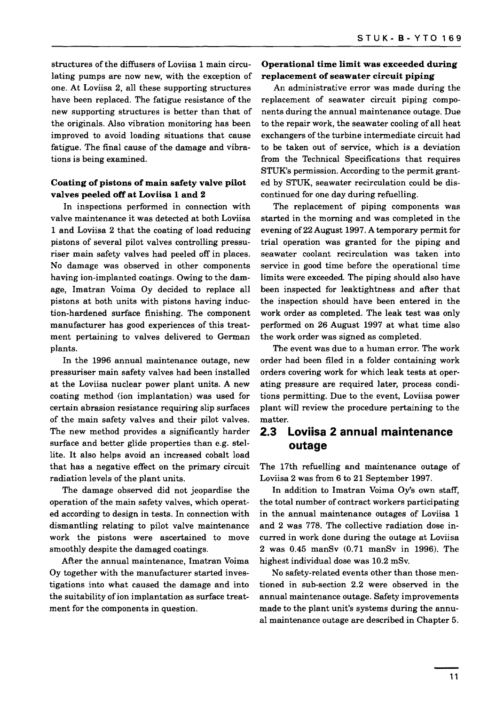structures of the diffusers of Loviisa 1 main circulating pumps are now new, with the exception of one. At Loviisa 2, all these supporting structures have been replaced. The fatigue resistance of the new supporting structures is better than that of the originals. Also vibration monitoring has been improved to avoid loading situations that cause fatigue. The final cause of the damage and vibrations is being examined.

#### **Coating of pistons of main safety valve pilot valves peeled off at Loviisa 1 and 2**

In inspections performed in connection with valve maintenance it was detected at both Loviisa 1 and Loviisa 2 that the coating of load reducing pistons of several pilot valves controlling pressuriser main safety valves had peeled off in places. No damage was observed in other components having ion-implanted coatings. Owing to the damage, Imatran Voima Oy decided to replace all pistons at both units with pistons having induction-hardened surface finishing. The component manufacturer has good experiences of this treatment pertaining to valves delivered to German plants.

In the 1996 annual maintenance outage, new pressuriser main safety valves had been installed at the Loviisa nuclear power plant units. A new coating method (ion implantation) was used for certain abrasion resistance requiring slip surfaces of the main safety valves and their pilot valves. The new method provides a significantly harder surface and better glide properties than e.g. stellite. It also helps avoid an increased cobalt load that has a negative effect on the primary circuit radiation levels of the plant units.

The damage observed did not jeopardise the operation of the main safety valves, which operated according to design in tests. In connection with dismantling relating to pilot valve maintenance work the pistons were ascertained to move smoothly despite the damaged coatings.

After the annual maintenance, Imatran Voima Oy together with the manufacturer started investigations into what caused the damage and into the suitability of ion implantation as surface treatment for the components in question.

#### **Operational time limit was exceeded during replacement of seawater circuit piping**

An administrative error was made during the replacement of seawater circuit piping components during the annual maintenance outage. Due to the repair work, the seawater cooling of all heat exchangers of the turbine intermediate circuit had to be taken out of service, which is a deviation from the Technical Specifications that requires STUK's permission. According to the permit granted by STUK, seawater recirculation could be discontinued for one day during refuelling.

The replacement of piping components was started in the morning and was completed in the evening of 22 August 1997. A temporary permit for trial operation was granted for the piping and seawater coolant recirculation was taken into service in good time before the operational time limits were exceeded. The piping should also have been inspected for leaktightness and after that the inspection should have been entered in the work order as completed. The leak test was only performed on 26 August 1997 at what time also the work order was signed as completed.

The event was due to a human error. The work order had been filed in a folder containing work orders covering work for which leak tests at operating pressure are required later, process conditions permitting. Due to the event, Loviisa power plant will review the procedure pertaining to the matter.

#### **2.3 Loviisa 2 annual maintenance outage**

The 17th refuelling and maintenance outage of Loviisa 2 was from 6 to 21 September 1997.

In addition to Imatran Voima Oy's own staff, the total number of contract workers participating in the annual maintenance outages of Loviisa 1 and 2 was 778. The collective radiation dose incurred in work done during the outage at Loviisa 2 was 0.45 manSv (0.71 manSv in 1996). The highest individual dose was 10.2 mSv.

No safety-related events other than those mentioned in sub-section 2.2 were observed in the annual maintenance outage. Safety improvements made to the plant unit's systems during the annual maintenance outage are described in Chapter 5.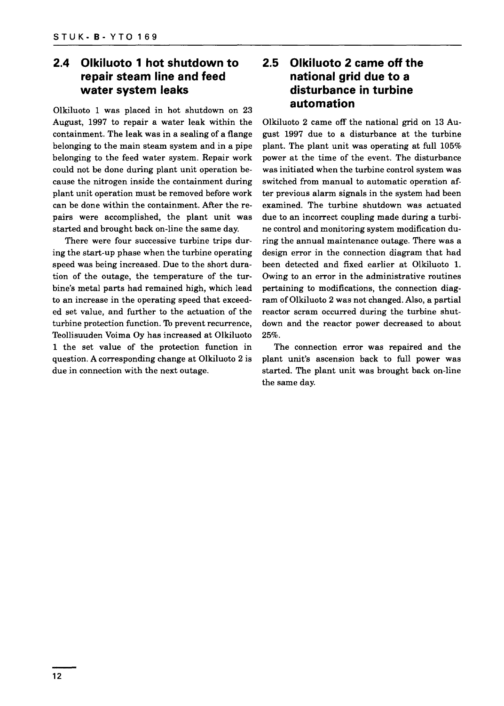#### **2.4 Olkiluoto 1 hot shutdown to repair steam line and feed water system leaks**

Olkiluoto 1 was placed in hot shutdown on 23 August, 1997 to repair a water leak within the containment. The leak was in a sealing of a flange belonging to the main steam system and in a pipe belonging to the feed water system. Repair work could not be done during plant unit operation because the nitrogen inside the containment during plant unit operation must be removed before work can be done within the containment. After the repairs were accomplished, the plant unit was started and brought back on-line the same day.

There were four successive turbine trips during the start-up phase when the turbine operating speed was being increased. Due to the short duration of the outage, the temperature of the turbine's metal parts had remained high, which lead to an increase in the operating speed that exceeded set value, and further to the actuation of the turbine protection function. To prevent recurrence, Teollisuuden Voima Oy has increased at Olkiluoto 1 the set value of the protection function in question. A corresponding change at Olkiluoto 2 is due in connection with the next outage.

#### **2.5 Olkiluoto 2 came off the national grid due to a disturbance in turbine automation**

Olkiluoto 2 came off the national grid on 13 August 1997 due to a disturbance at the turbine plant. The plant unit was operating at full 105% power at the time of the event. The disturbance was initiated when the turbine control system was switched from manual to automatic operation after previous alarm signals in the system had been examined. The turbine shutdown was actuated due to an incorrect coupling made during a turbine control and monitoring system modification during the annual maintenance outage. There was a design error in the connection diagram that had been detected and fixed earlier at Olkiluoto 1. Owing to an error in the administrative routines pertaining to modifications, the connection diagram of Olkiluoto 2 was not changed. Also, a partial reactor scram occurred during the turbine shutdown and the reactor power decreased to about 25%.

The connection error was repaired and the plant unit's ascension back to full power was started. The plant unit was brought back on-line the same day.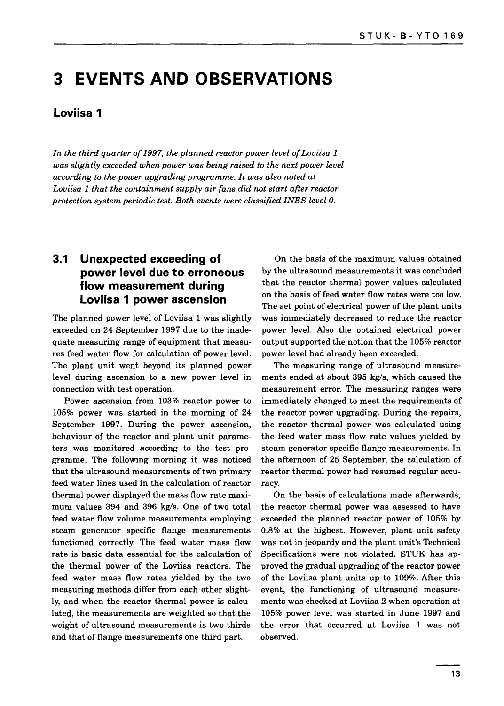### **3 EVENTS AND OBSERVATIONS**

#### **Loviisa 1**

*In the third quarter of 1997, the planned reactor power level of Loviisa 1 was slightly exceeded when power was being raised to the next power level according to the power upgrading programme. It was also noted at Loviisa 1 that the containment supply air fans did not start after reactor protection system periodic test. Both events were classified INES level 0.*

#### **3.1 Unexpected exceeding of power level due to erroneous flow measurement during Loviisa 1 power ascension**

The planned power level of Loviisa 1 was slightly exceeded on 24 September 1997 due to the inadequate measuring range of equipment that measures feed water flow for calculation of power level. The plant unit went beyond its planned power level during ascension to a new power level in connection with test operation.

Power ascension from 103% reactor power to 105% power was started in the morning of 24 September 1997. During the power ascension, behaviour of the reactor and plant unit parameters was monitored according to the test programme. The following morning it was noticed that the ultrasound measurements of two primary feed water lines used in the calculation of reactor thermal power displayed the mass flow rate maximum values 394 and 396 kg/s. One of two total feed water flow volume measurements employing steam generator specific flange measurements functioned correctly. The feed water mass flow rate is basic data essential for the calculation of the thermal power of the Loviisa reactors. The feed water mass flow rates yielded by the two measuring methods differ from each other slightly, and when the reactor thermal power is calculated, the measurements are weighted so that the weight of ultrasound measurements is two thirds and that of flange measurements one third part.

On the basis of the maximum values obtained by the ultrasound measurements it was concluded that the reactor thermal power values calculated on the basis of feed water flow rates were too low. The set point of electrical power of the plant units was immediately decreased to reduce the reactor power level. Also the obtained electrical power output supported the notion that the 105% reactor power level had already been exceeded.

The measuring range of ultrasound measurements ended at about 395 kg/s, which caused the measurement error. The measuring ranges were immediately changed to meet the requirements of the reactor power upgrading. During the repairs, the reactor thermal power was calculated using the feed water mass flow rate values yielded by steam generator specific flange measurements. In the afternoon of 25 September, the calculation of reactor thermal power had resumed regular accuracy.

On the basis of calculations made afterwards, the reactor thermal power was assessed to have exceeded the planned reactor power of 105% by 0.8% at the highest. However, plant unit safety was not in jeopardy and the plant unit's Technical Specifications were not violated. STUK has approved the gradual upgrading of the reactor power of the Loviisa plant units up to 109%. After this event, the functioning of ultrasound measurements was checked at Loviisa 2 when operation at 105% power level was started in June 1997 and the error that occurred at Loviisa 1 was not observed.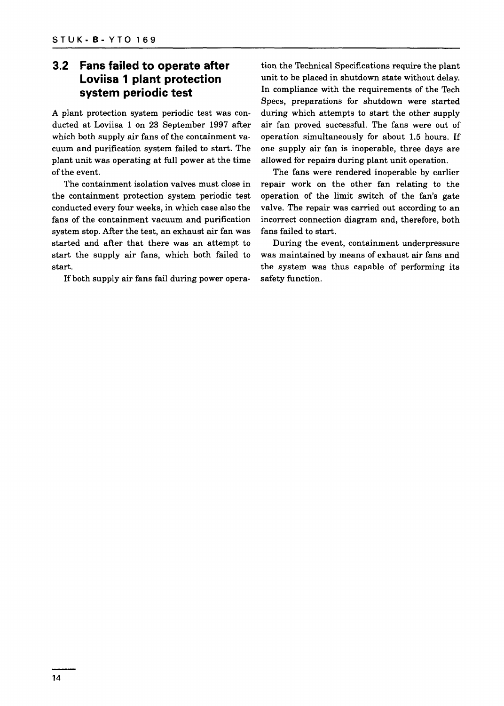#### **3.2 Fans failed to operate after Loviisa 1 plant protection system periodic test**

A plant protection system periodic test was conducted at Loviisa 1 on 23 September 1997 after which both supply air fans of the containment vacuum and purification system failed to start. The plant unit was operating at full power at the time of the event.

The containment isolation valves must close in the containment protection system periodic test conducted every four weeks, in which case also the fans of the containment vacuum and purification system stop. After the test, an exhaust air fan was started and after that there was an attempt to start the supply air fans, which both failed to start.

If both supply air fans fail during power opera-

tion the Technical Specifications require the plant unit to be placed in shutdown state without delay. In compliance with the requirements of the Tech Specs, preparations for shutdown were started during which attempts to start the other supply air fan proved successful. The fans were out of operation simultaneously for about 1.5 hours. If one supply air fan is inoperable, three days are allowed for repairs during plant unit operation.

The fans were rendered inoperable by earlier repair work on the other fan relating to the operation of the limit switch of the fan's gate valve. The repair was carried out according to an incorrect connection diagram and, therefore, both fans failed to start.

During the event, containment underpressure was maintained by means of exhaust air fans and the system was thus capable of performing its safety function.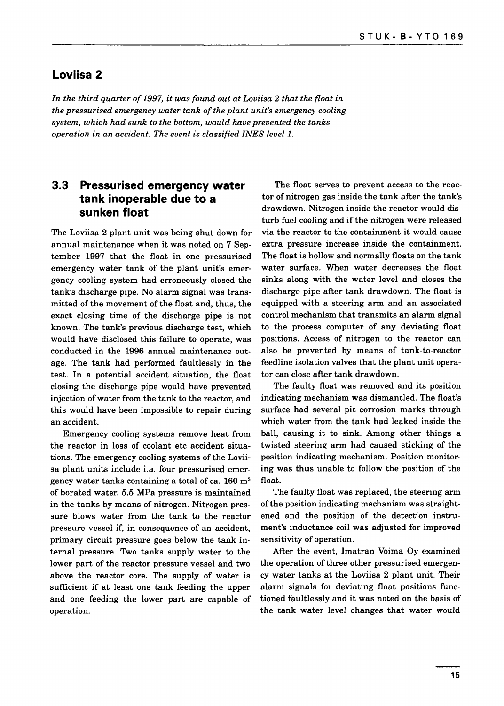#### **Loviisa 2**

*In the third quarter of 1997, it was found out at Loviisa 2 that the float in the pressurised emergency water tank of the plant unit's emergency cooling system, which had sunk to the bottom, would have prevented the tanks operation in an accident. The event is classified INES level 1.*

#### **3.3 Pressurised emergency water tank inoperable due to a sunken float**

The Loviisa 2 plant unit was being shut down for annual maintenance when it was noted on 7 September 1997 that the float in one pressurised emergency water tank of the plant unit's emergency cooling system had erroneously closed the tank's discharge pipe. No alarm signal was transmitted of the movement of the float and, thus, the exact closing time of the discharge pipe is not known. The tank's previous discharge test, which would have disclosed this failure to operate, was conducted in the 1996 annual maintenance outage. The tank had performed faultlessly in the test. In a potential accident situation, the float closing the discharge pipe would have prevented injection of water from the tank to the reactor, and this would have been impossible to repair during an accident.

Emergency cooling systems remove heat from the reactor in loss of coolant etc accident situations. The emergency cooling systems of the Loviisa plant units include i.a. four pressurised emergency water tanks containing a total of ca.  $160 \text{ m}^3$ of borated water. 5.5 MPa pressure is maintained in the tanks by means of nitrogen. Nitrogen pressure blows water from the tank to the reactor pressure vessel if, in consequence of an accident, primary circuit pressure goes below the tank internal pressure. Two tanks supply water to the lower part of the reactor pressure vessel and two above the reactor core. The supply of water is sufficient if at least one tank feeding the upper and one feeding the lower part are capable of operation.

The float serves to prevent access to the reactor of nitrogen gas inside the tank after the tank's drawdown. Nitrogen inside the reactor would disturb fuel cooling and if the nitrogen were released via the reactor to the containment it would cause extra pressure increase inside the containment. The float is hollow and normally floats on the tank water surface. When water decreases the float sinks along with the water level and closes the discharge pipe after tank drawdown. The float is equipped with a steering arm and an associated control mechanism that transmits an alarm signal to the process computer of any deviating float positions. Access of nitrogen to the reactor can also be prevented by means of tank-to-reactor feedline isolation valves that the plant unit operator can close after tank drawdown.

The faulty float was removed and its position indicating mechanism was dismantled. The float's surface had several pit corrosion marks through which water from the tank had leaked inside the ball, causing it to sink. Among other things a twisted steering arm had caused sticking of the position indicating mechanism. Position monitoring was thus unable to follow the position of the float.

The faulty float was replaced, the steering arm of the position indicating mechanism was straightened and the position of the detection instrument's inductance coil was adjusted for improved sensitivity of operation.

After the event, Imatran Voima Oy examined the operation of three other pressurised emergency water tanks at the Loviisa 2 plant unit. Their alarm signals for deviating float positions functioned faultlessly and it was noted on the basis of the tank water level changes that water would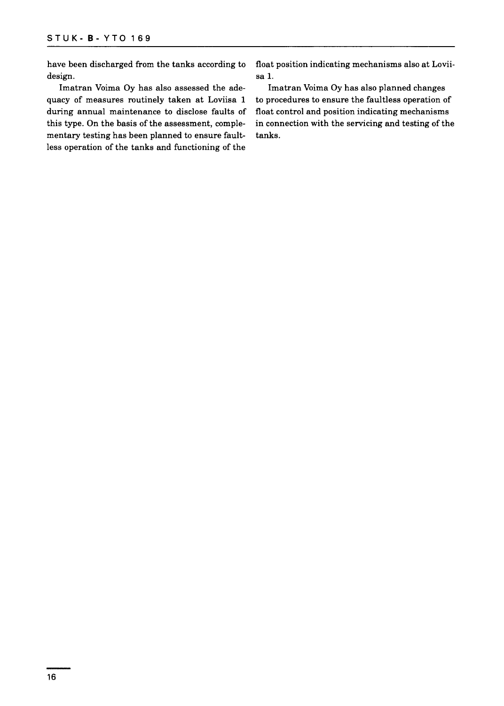have been discharged from the tanks according to float position indicating mechanisms also at Loviidesign. Sa 1.

quacy of measures routinely taken at Loviisa 1 to procedures to ensure the faultless operation of during annual maintenance to disclose faults of float control and position indicating mechanisms this type. On the basis of the assessment, comple- in connection with the servicing and testing of the mentary testing has been planned to ensure fault- tanks. less operation of the tanks and functioning of the

Imatran Voima Oy has also assessed the ade- Imatran Voima Oy has also planned changes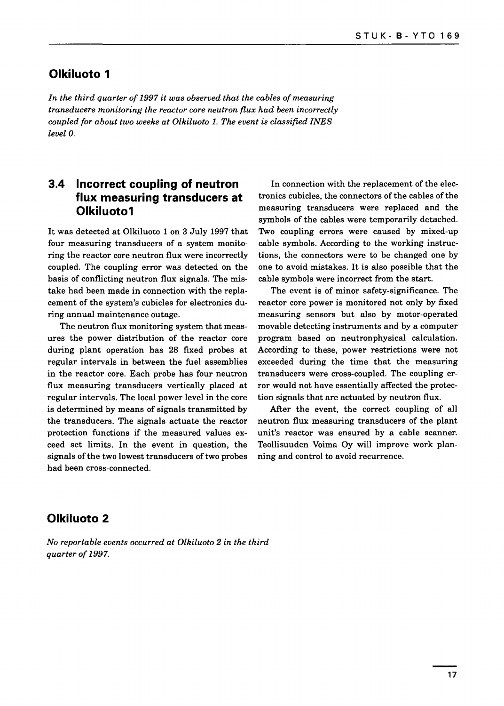#### **Olkiluoto 1**

*In the third quarter of 1997 it was observed that the cables of measuring transducers monitoring the reactor core neutron flux had been incorrectly coupled for about two weeks at Olkiluoto 1. The event is classified INES level 0.*

#### **3.4 Incorrect coupling of neutron flux measuring transducers at Olkiluotoi**

It was detected at Olkiluoto 1 on 3 July 1997 that four measuring transducers of a system monitoring the reactor core neutron flux were incorrectly coupled. The coupling error was detected on the basis of conflicting neutron flux signals. The mistake had been made in connection with the replacement of the system's cubicles for electronics during annual maintenance outage.

The neutron flux monitoring system that measures the power distribution of the reactor core during plant operation has 28 fixed probes at regular intervals in between the fuel assemblies in the reactor core. Each probe has four neutron flux measuring transducers vertically placed at regular intervals. The local power level in the core is determined by means of signals transmitted by the transducers. The signals actuate the reactor protection functions if the measured values exceed set limits. In the event in question, the signals of the two lowest transducers of two probes had been cross-connected.

In connection with the replacement of the electronics cubicles, the connectors of the cables of the measuring transducers were replaced and the symbols of the cables were temporarily detached. Two coupling errors were caused by mixed-up cable symbols. According to the working instructions, the connectors were to be changed one by one to avoid mistakes. It is also possible that the cable symbols were incorrect from the start.

The event is of minor safety-significance. The reactor core power is monitored not only by fixed measuring sensors but also by motor-operated movable detecting instruments and by a computer program based on neutronphysical calculation. According to these, power restrictions were not exceeded during the time that the measuring transducers were cross-coupled. The coupling error would not have essentially affected the protection signals that are actuated by neutron flux.

After the event, the correct coupling of all neutron flux measuring transducers of the plant unit's reactor was ensured by a cable scanner. Teollisuuden Voima Oy will improve work planning and control to avoid recurrence.

#### **Olkiluoto 2**

*No reportable events occurred at Olkiluoto 2 in the third quarter of 1997.*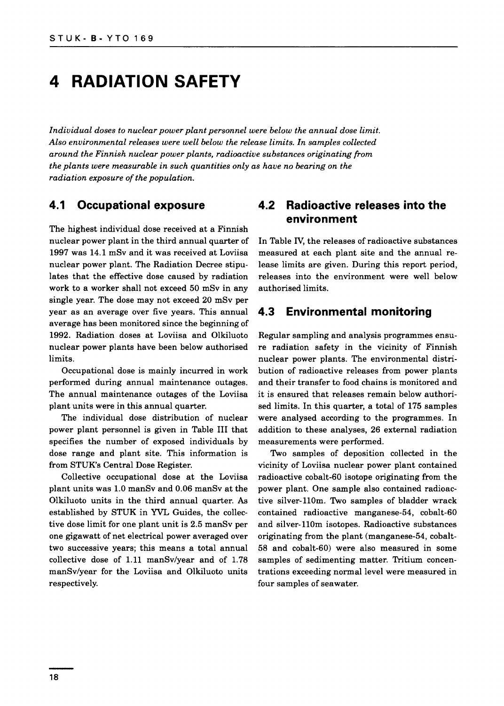### **4 RADIATION SAFETY**

*Individual doses to nuclear power plant personnel were below the annual dose limit. Also environmental releases were well below the release limits. In samples collected around the Finnish nuclear power plants, radioactive substances originating from the plants were measurable in such quantities only as have no bearing on the radiation exposure of the population.*

#### **4.1 Occupational exposure**

The highest individual dose received at a Finnish nuclear power plant in the third annual quarter of 1997 was 14.1 mSv and it was received at Loviisa nuclear power plant. The Radiation Decree stipulates that the effective dose caused by radiation work to a worker shall not exceed 50 mSv in any single year. The dose may not exceed 20 mSv per year as an average over five years. This annual average has been monitored since the beginning of 1992. Radiation doses at Loviisa and Olkiluoto nuclear power plants have been below authorised limits.

Occupational dose is mainly incurred in work performed during annual maintenance outages. The annual maintenance outages of the Loviisa plant units were in this annual quarter.

The individual dose distribution of nuclear power plant personnel is given in Table III that specifies the number of exposed individuals by dose range and plant site. This information is from STUK's Central Dose Register.

Collective occupational dose at the Loviisa plant units was 1.0 manSv and 0.06 manSv at the Olkiluoto units in the third annual quarter. As established by STUK in YVL Guides, the collective dose limit for one plant unit is 2.5 manSv per one gigawatt of net electrical power averaged over two successive years; this means a total annual collective dose of 1.11 manSv/year and of 1.78 manSv/year for the Loviisa and Olkiluoto units respectively.

#### **4.2 Radioactive releases into the environment**

In Table IV, the releases of radioactive substances measured at each plant site and the annual release limits are given. During this report period, releases into the environment were well below authorised limits.

#### **4.3 Environmental monitoring**

Regular sampling and analysis programmes ensure radiation safety in the vicinity of Finnish nuclear power plants. The environmental distribution of radioactive releases from power plants and their transfer to food chains is monitored and it is ensured that releases remain below authorised limits. In this quarter, a total of 175 samples were analysed according to the programmes. In addition to these analyses, 26 external radiation measurements were performed.

Two samples of deposition collected in the vicinity of Loviisa nuclear power plant contained radioactive cobalt-60 isotope originating from the power plant. One sample also contained radioactive silver-110m. Two samples of bladder wrack contained radioactive manganese-54, cobalt-60 and silver-110m isotopes. Radioactive substances originating from the plant (manganese-54, cobalt-58 and cobalt-60) were also measured in some samples of sedimenting matter. Tritium concentrations exceeding normal level were measured in four samples of seawater.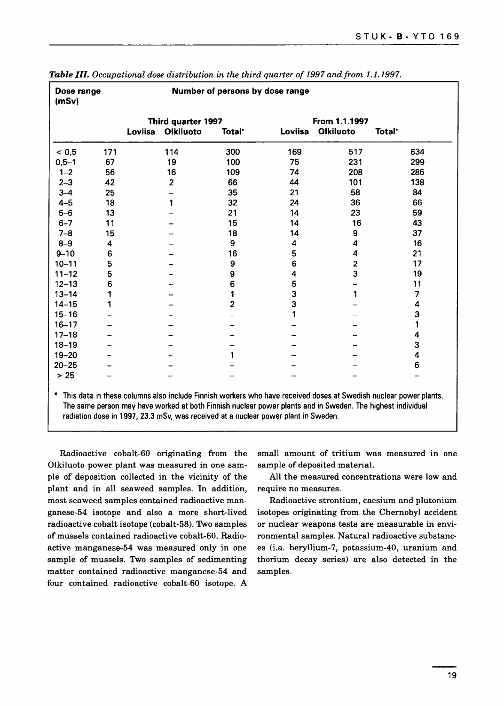| Dose range<br>(mSv) |     |         |                    | Number of persons by dose range |         |                         |                    |
|---------------------|-----|---------|--------------------|---------------------------------|---------|-------------------------|--------------------|
|                     |     |         | Third quarter 1997 |                                 |         | From 1.1.1997           |                    |
|                     |     | Loviisa | <b>Olkiluoto</b>   | Total <sup>*</sup>              | Loviisa | <b>Olkiluoto</b>        | Total <sup>-</sup> |
| < 0, 5              | 171 |         | 114                | 300                             | 169     | 517                     | 634                |
| $0,5 - 1$           | 67  |         | 19                 | 100                             | 75      | 231                     | 299                |
| $1 - 2$             | 56  |         | 16                 | 109                             | 74      | 208                     | 286                |
| $2 - 3$             | 42  |         | $\overline{2}$     | 66                              | 44      | 101                     | 138                |
| $3 - 4$             | 25  |         |                    | 35                              | 21      | 58                      | 84                 |
| $4 - 5$             | 18  |         | 1                  | 32                              | 24      | 36                      | 66                 |
| $5-6$               | 13  |         |                    | 21                              | 14      | 23                      | 59                 |
| $6 - 7$             | 11  |         |                    | 15                              | 14      | 16                      | 43                 |
| $7 - 8$             | 15  |         |                    | 18                              | 14      | 9                       | 37                 |
| $8 - 9$             | 4   |         |                    | 9                               | 4       | 4                       | 16                 |
| $9 - 10$            | 6   |         |                    | 16                              | 5       | 4                       | 21                 |
| $10 - 11$           | 5   |         |                    | 9                               | 6       | $\overline{\mathbf{c}}$ | 17                 |
| $11 - 12$           | 5   |         |                    | 9                               | 4       | 3                       | 19                 |
| $12 - 13$           | 6   |         |                    | 6                               | 5       |                         | 11                 |
| $13 - 14$           |     |         |                    | 1                               | 3       | 1                       | 7                  |
| $14 - 15$           | 1   |         |                    | $\overline{2}$                  | 3       |                         | 4                  |
| $15 - 16$           |     |         |                    |                                 |         |                         | 3                  |
| $16 - 17$           |     |         |                    |                                 |         |                         |                    |
| $17 - 18$           |     |         |                    |                                 |         |                         | 4                  |
| $18 - 19$           |     |         |                    |                                 |         |                         | 3                  |
| $19 - 20$           |     |         |                    | 1                               |         |                         | 4                  |
| $20 - 25$           |     |         |                    |                                 |         |                         | 6                  |
| $>25$               |     |         |                    |                                 |         |                         |                    |

**Table III.** Occupational dose distribution in the third quarter of 1997 and from 1.1.1997

\* This data in these columns also include Finnish workers who have received doses at Swedish nuclear power plants. The same person may have worked at both Finnish nuclear power plants and in Sweden. The highest individual radiation dose in 1997, 23.3 mSv, was received at a nuclear power plant in Sweden.

Radioactive cobalt-60 originating from the Olkiluoto power plant was measured in one sample of deposition collected in the vicinity of the plant and in all seaweed samples. In addition, most seaweed samples contained radioactive manganese-54 isotope and also a more short-lived radioactive cobalt isotope (cobalt-58). Two samples of mussels contained radioactive cobalt-60. Radioactive manganese-54 was measured only in one sample of mussels. Two samples of sedimenting matter contained radioactive manganese-54 and four contained radioactive cobalt-60 isotope. A small amount of tritium was measured in one sample of deposited material.

All the measured concentrations were low and require no measures.

Radioactive strontium, caesium and plutonium isotopes originating from the Chernobyl accident or nuclear weapons tests are measurable in environmental samples. Natural radioactive substances (i.a. beryllium-7, potassium-40, uranium and thorium decay series) are also detected in the samples.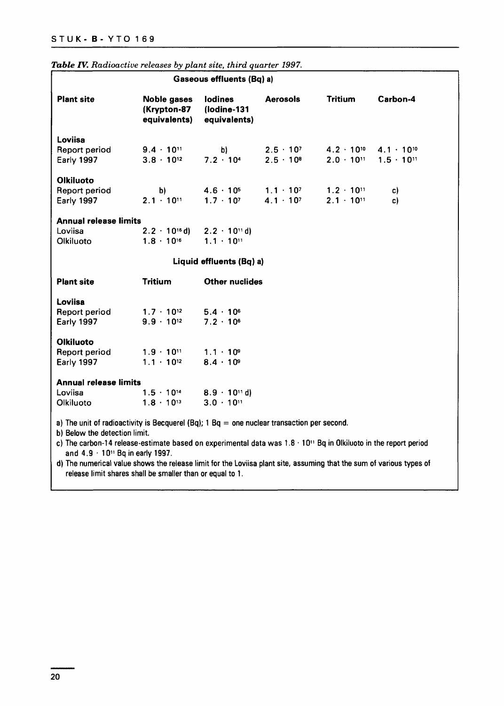|                                                                                                                               |                                                   | Gaseous effluents (Bq) a)                                   |                                          |                                            |                                            |
|-------------------------------------------------------------------------------------------------------------------------------|---------------------------------------------------|-------------------------------------------------------------|------------------------------------------|--------------------------------------------|--------------------------------------------|
| <b>Plant site</b>                                                                                                             | <b>Noble gases</b><br>(Krypton-87<br>equivalents) | lodines<br>(lodine-131<br>equivalents)                      | <b>Aerosols</b>                          | Tritium                                    | Carbon-4                                   |
| Loviisa<br>Report period<br>Early 1997                                                                                        | $9.4 \cdot 10^{11}$<br>$3.8 \cdot 10^{12}$        | b)<br>$7.2 \cdot 10^{4}$                                    | $2.5 \cdot 10^{7}$<br>$2.5 \cdot 10^{8}$ | $4.2 \cdot 10^{10}$<br>$2.0 \cdot 10^{11}$ | $4.1 \cdot 10^{10}$<br>$1.5 \cdot 10^{11}$ |
| <b>Olkiluoto</b><br>Report period<br>Early 1997                                                                               | b)<br>$2.1 \cdot 10^{11}$                         | $4.6 \cdot 10^{5}$<br>$1.7 \cdot 10^{7}$                    | $1.1 \cdot 10^{7}$<br>$4.1 \cdot 10^{7}$ | $1.2 \cdot 10^{11}$<br>$2.1 \cdot 10^{11}$ | c)<br>c)                                   |
| <b>Annual release limits</b><br>Loviisa<br>Olkiluoto                                                                          | $2.2 \cdot 10^{16}$ d)<br>$1.8 \cdot 10^{16}$     | $2.2 \cdot 10^{11}$ d)<br>$1.1 \cdot 10^{11}$               |                                          |                                            |                                            |
|                                                                                                                               |                                                   | Liquid effluents (Bq) a)                                    |                                          |                                            |                                            |
| <b>Plant site</b>                                                                                                             | Tritium                                           | <b>Other nuclides</b>                                       |                                          |                                            |                                            |
| Loviisa<br><b>Report period</b><br>Early 1997                                                                                 | $1.7 \cdot 10^{12}$<br>$9.9 \cdot 10^{12}$        | $5.4 \cdot 10^{6}$<br>$7.2 \cdot 10^{6}$                    |                                          |                                            |                                            |
| <b>Olkiluoto</b><br><b>Report period</b><br>Early 1997                                                                        | $1.9 \cdot 10^{11}$<br>$1.1 \cdot 10^{12}$        | $1.1 \cdot 10^9$<br>$8.4 \cdot 10^{9}$                      |                                          |                                            |                                            |
| <b>Annual release limits</b><br>Loviisa<br>Olkiluoto                                                                          | $1.5 \cdot 10^{14}$<br>$1.8 \cdot 10^{13}$        | $8.9 - 10$ <sup>11</sup> d)<br>$3.0 \cdot 10$ <sup>11</sup> |                                          |                                            |                                            |
| a) The unit of radioactivity is Becquerel (Bq); $1 Bq =$ one nuclear transaction per second.<br>b) Below the detection limit. |                                                   |                                                             |                                          |                                            |                                            |

|  |  | Table IV. Radioactive releases by plant site, third quarter 1997. |  |  |  |  |  |  |  |
|--|--|-------------------------------------------------------------------|--|--|--|--|--|--|--|
|--|--|-------------------------------------------------------------------|--|--|--|--|--|--|--|

c) The carbon-14 release-estimate based on experimental data was 1.8 • 10" Bq in Olkiluoto in the report period and 4.9 • 10" Bq in early 1997.

d) The numerical value shows the release limit for the Loviisa plant site, assuming that the sum of various types of release limit shares shall be smaller than or equal to 1.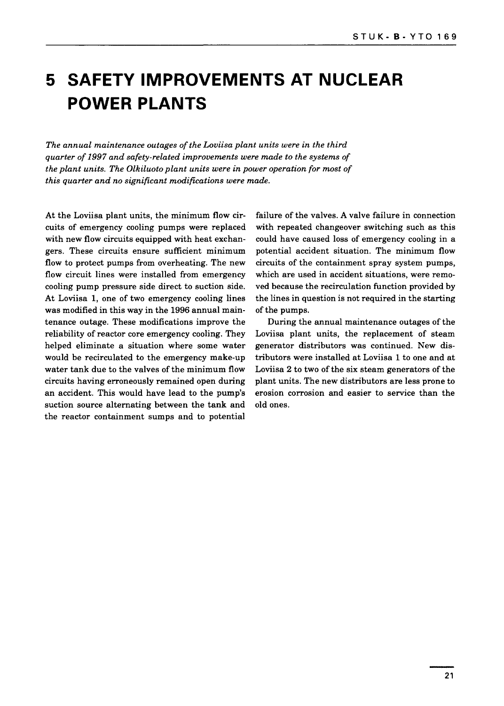### **5 SAFETY IMPROVEMENTS AT NUCLEAR POWER PLANTS**

*The annual maintenance outages of the Loviisa plant units were in the third quarter of 1997 and safety-related improvements were made to the systems of the plant units. The Olkiluoto plant units were in power operation for most of this quarter and no significant modifications were made.*

At the Loviisa plant units, the minimum flow circuits of emergency cooling pumps were replaced with new flow circuits equipped with heat exchangers. These circuits ensure sufficient minimum flow to protect pumps from overheating. The new flow circuit lines were installed from emergency cooling pump pressure side direct to suction side. At Loviisa 1, one of two emergency cooling lines was modified in this way in the 1996 annual maintenance outage. These modifications improve the reliability of reactor core emergency cooling. They helped eliminate a situation where some water would be recirculated to the emergency make-up water tank due to the valves of the minimum flow circuits having erroneously remained open during an accident. This would have lead to the pump's suction source alternating between the tank and the reactor containment sumps and to potential

failure of the valves. A valve failure in connection with repeated changeover switching such as this could have caused loss of emergency cooling in a potential accident situation. The minimum flow circuits of the containment spray system pumps, which are used in accident situations, were removed because the recirculation function provided by the lines in question is not required in the starting of the pumps.

During the annual maintenance outages of the Loviisa plant units, the replacement of steam generator distributors was continued. New distributors were installed at Loviisa 1 to one and at Loviisa 2 to two of the six steam generators of the plant units. The new distributors are less prone to erosion corrosion and easier to service than the old ones.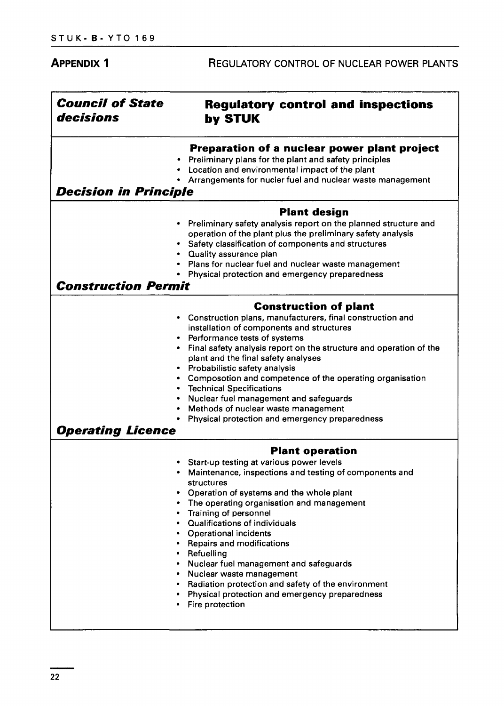| <b>Regulatory control and inspections</b><br>by STUK<br>Preparation of a nuclear power plant project<br>Preliminary plans for the plant and safety principles<br>Location and environmental impact of the plant<br>Arrangements for nucler fuel and nuclear waste management<br><b>Decision in Principle</b><br><b>Plant design</b><br>Preliminary safety analysis report on the planned structure and<br>operation of the plant plus the preliminary safety analysis<br>Safety classification of components and structures<br>• Quality assurance plan<br>Plans for nuclear fuel and nuclear waste management<br>Physical protection and emergency preparedness<br><b>Construction Permit</b><br><b>Construction of plant</b><br>Construction plans, manufacturers, final construction and |
|---------------------------------------------------------------------------------------------------------------------------------------------------------------------------------------------------------------------------------------------------------------------------------------------------------------------------------------------------------------------------------------------------------------------------------------------------------------------------------------------------------------------------------------------------------------------------------------------------------------------------------------------------------------------------------------------------------------------------------------------------------------------------------------------|
|                                                                                                                                                                                                                                                                                                                                                                                                                                                                                                                                                                                                                                                                                                                                                                                             |
|                                                                                                                                                                                                                                                                                                                                                                                                                                                                                                                                                                                                                                                                                                                                                                                             |
|                                                                                                                                                                                                                                                                                                                                                                                                                                                                                                                                                                                                                                                                                                                                                                                             |
|                                                                                                                                                                                                                                                                                                                                                                                                                                                                                                                                                                                                                                                                                                                                                                                             |
|                                                                                                                                                                                                                                                                                                                                                                                                                                                                                                                                                                                                                                                                                                                                                                                             |
|                                                                                                                                                                                                                                                                                                                                                                                                                                                                                                                                                                                                                                                                                                                                                                                             |
| installation of components and structures<br>Performance tests of systems<br>Final safety analysis report on the structure and operation of the<br>plant and the final safety analyses<br>Probabilistic safety analysis<br>Composotion and competence of the operating organisation<br><b>Technical Specifications</b><br>Nuclear fuel management and safeguards<br>Methods of nuclear waste management<br>Physical protection and emergency preparedness<br><b>Operating Licence</b>                                                                                                                                                                                                                                                                                                       |
| <b>Plant operation</b>                                                                                                                                                                                                                                                                                                                                                                                                                                                                                                                                                                                                                                                                                                                                                                      |
| Start-up testing at various power levels<br>Maintenance, inspections and testing of components and<br>structures                                                                                                                                                                                                                                                                                                                                                                                                                                                                                                                                                                                                                                                                            |
| Operation of systems and the whole plant<br>The operating organisation and management<br>Training of personnel<br>Qualifications of individuals<br><b>Operational incidents</b><br>• Repairs and modifications<br>• Refuelling<br>• Nuclear fuel management and safeguards<br>• Nuclear waste management<br>• Radiation protection and safety of the environment<br>• Physical protection and emergency preparedness                                                                                                                                                                                                                                                                                                                                                                        |
|                                                                                                                                                                                                                                                                                                                                                                                                                                                                                                                                                                                                                                                                                                                                                                                             |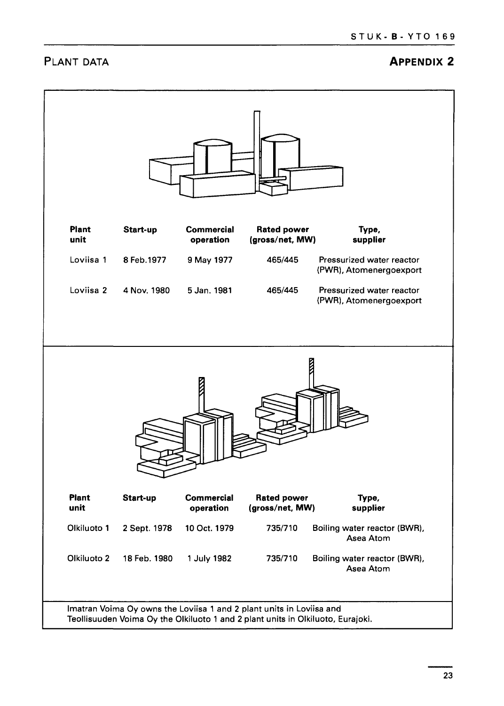#### **PLANT DATA APPENDIX 2**

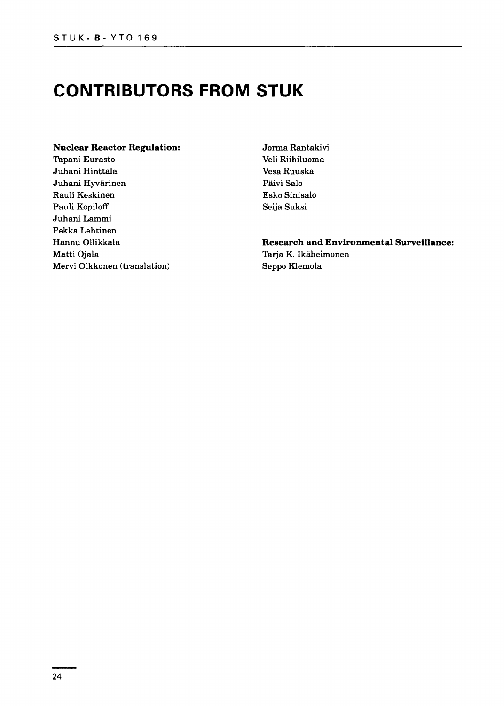### **CONTRIBUTORS FROM STUK**

#### **Nuclear Reactor Regulation:**

Tapani Eurasto Juhani Hinttala Juhani Hyvarinen Rauli Keskinen Pauli Kopiloff Juhani Lammi Pekka Lehtinen Hannu Ollikkala Matti Ojala Mervi Olkkonen (translation) Jorma Rantakivi Veli Riihiluoma Vesa Ruuska Paivi Salo Esko Sinisalo Seija Suksi

### **Research and Environmental Surveillance:**

Tarja K. Ikaheimonen Seppo Klemola